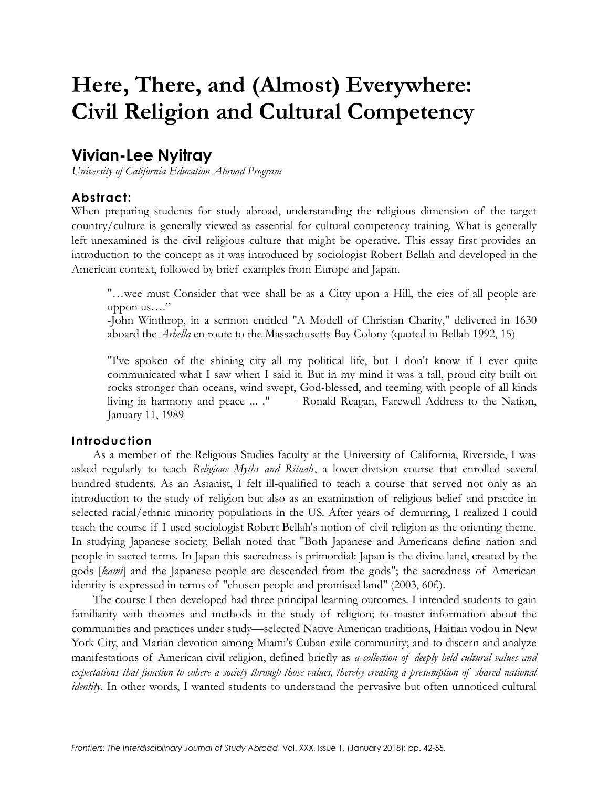# **Here, There, and (Almost) Everywhere: Civil Religion and Cultural Competency**

## **Vivian-Lee Nyitray**

*University of California Education Abroad Program*

#### **Abstract:**

When preparing students for study abroad, understanding the religious dimension of the target country/culture is generally viewed as essential for cultural competency training. What is generally left unexamined is the civil religious culture that might be operative. This essay first provides an introduction to the concept as it was introduced by sociologist Robert Bellah and developed in the American context, followed by brief examples from Europe and Japan.

"…wee must Consider that wee shall be as a Citty upon a Hill, the eies of all people are uppon us…."

-John Winthrop, in a sermon entitled "A Modell of Christian Charity," delivered in 1630 aboard the *Arbella* en route to the Massachusetts Bay Colony (quoted in Bellah 1992, 15)

"I've spoken of the shining city all my political life, but I don't know if I ever quite communicated what I saw when I said it. But in my mind it was a tall, proud city built on rocks stronger than oceans, wind swept, God-blessed, and teeming with people of all kinds living in harmony and peace ... ." - Ronald Reagan, Farewell Address to the Nation, January 11, 1989

#### **Introduction**

As a member of the Religious Studies faculty at the University of California, Riverside, I was asked regularly to teach *Religious Myths and Rituals*, a lower-division course that enrolled several hundred students. As an Asianist, I felt ill-qualified to teach a course that served not only as an introduction to the study of religion but also as an examination of religious belief and practice in selected racial/ethnic minority populations in the US. After years of demurring, I realized I could teach the course if I used sociologist Robert Bellah's notion of civil religion as the orienting theme. In studying Japanese society, Bellah noted that "Both Japanese and Americans define nation and people in sacred terms. In Japan this sacredness is primordial: Japan is the divine land, created by the gods [*kami*] and the Japanese people are descended from the gods"; the sacredness of American identity is expressed in terms of "chosen people and promised land" (2003, 60f.).

The course I then developed had three principal learning outcomes. I intended students to gain familiarity with theories and methods in the study of religion; to master information about the communities and practices under study—selected Native American traditions, Haitian vodou in New York City, and Marian devotion among Miami's Cuban exile community; and to discern and analyze manifestations of American civil religion, defined briefly as *a collection of deeply held cultural values and expectations that function to cohere a society through those values, thereby creating a presumption of shared national identity*. In other words, I wanted students to understand the pervasive but often unnoticed cultural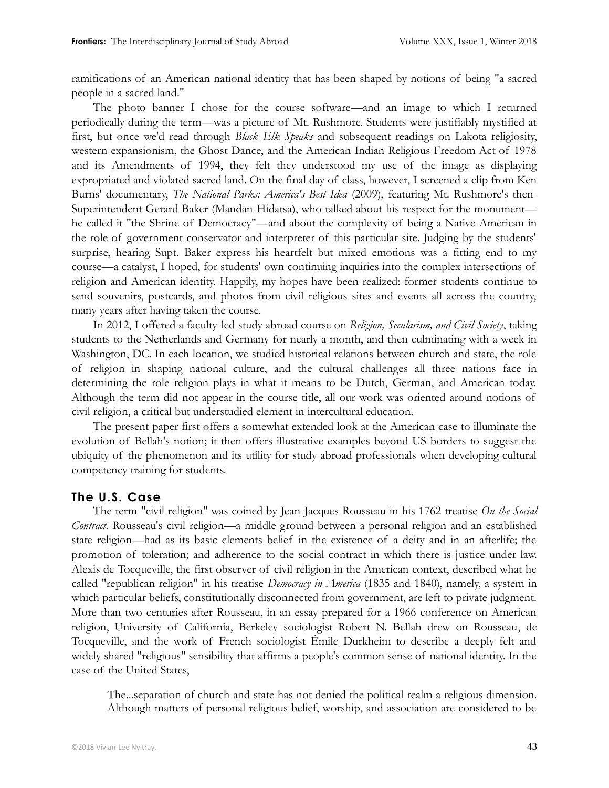ramifications of an American national identity that has been shaped by notions of being "a sacred people in a sacred land."

The photo banner I chose for the course software—and an image to which I returned periodically during the term—was a picture of Mt. Rushmore. Students were justifiably mystified at first, but once we'd read through *Black Elk Speaks* and subsequent readings on Lakota religiosity, western expansionism, the Ghost Dance, and the American Indian Religious Freedom Act of 1978 and its Amendments of 1994, they felt they understood my use of the image as displaying expropriated and violated sacred land. On the final day of class, however, I screened a clip from Ken Burns' documentary, *The National Parks: America's Best Idea* (2009), featuring Mt. Rushmore's then-Superintendent Gerard Baker (Mandan-Hidatsa), who talked about his respect for the monument he called it "the Shrine of Democracy"—and about the complexity of being a Native American in the role of government conservator and interpreter of this particular site. Judging by the students' surprise, hearing Supt. Baker express his heartfelt but mixed emotions was a fitting end to my course—a catalyst, I hoped, for students' own continuing inquiries into the complex intersections of religion and American identity. Happily, my hopes have been realized: former students continue to send souvenirs, postcards, and photos from civil religious sites and events all across the country, many years after having taken the course.

In 2012, I offered a faculty-led study abroad course on *Religion, Secularism, and Civil Society*, taking students to the Netherlands and Germany for nearly a month, and then culminating with a week in Washington, DC. In each location, we studied historical relations between church and state, the role of religion in shaping national culture, and the cultural challenges all three nations face in determining the role religion plays in what it means to be Dutch, German, and American today. Although the term did not appear in the course title, all our work was oriented around notions of civil religion, a critical but understudied element in intercultural education.

The present paper first offers a somewhat extended look at the American case to illuminate the evolution of Bellah's notion; it then offers illustrative examples beyond US borders to suggest the ubiquity of the phenomenon and its utility for study abroad professionals when developing cultural competency training for students.

#### **The U.S. Case**

The term "civil religion" was coined by Jean-Jacques Rousseau in his 1762 treatise *On the Social Contract.* Rousseau's civil religion—a middle ground between a personal religion and an established state religion—had as its basic elements belief in the existence of a deity and in an afterlife; the promotion of toleration; and adherence to the social contract in which there is justice under law. Alexis de Tocqueville, the first observer of civil religion in the American context, described what he called "republican religion" in his treatise *Democracy in America* (1835 and 1840), namely, a system in which particular beliefs, constitutionally disconnected from government, are left to private judgment. More than two centuries after Rousseau, in an essay prepared for a 1966 conference on American religion, University of California, Berkeley sociologist Robert N. Bellah drew on Rousseau, de Tocqueville, and the work of French sociologist Émile Durkheim to describe a deeply felt and widely shared "religious" sensibility that affirms a people's common sense of national identity. In the case of the United States,

The...separation of church and state has not denied the political realm a religious dimension. Although matters of personal religious belief, worship, and association are considered to be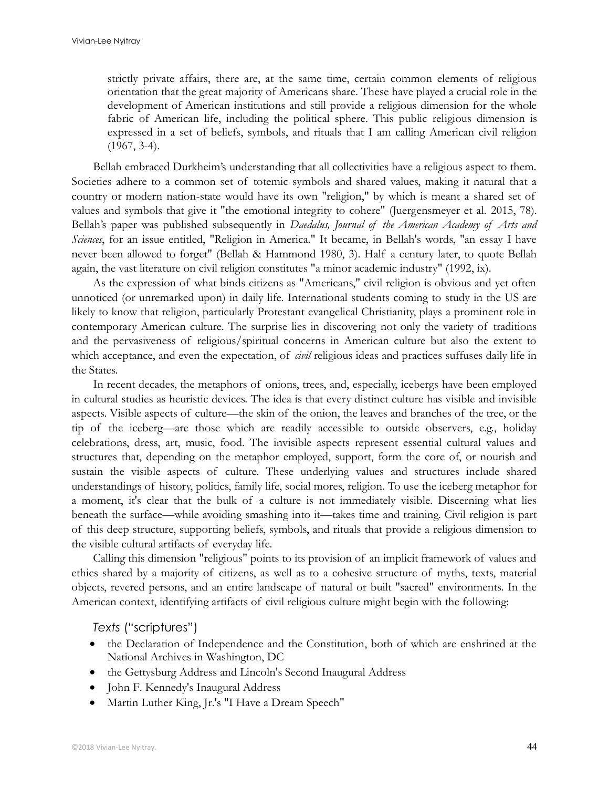strictly private affairs, there are, at the same time, certain common elements of religious orientation that the great majority of Americans share. These have played a crucial role in the development of American institutions and still provide a religious dimension for the whole fabric of American life, including the political sphere. This public religious dimension is expressed in a set of beliefs, symbols, and rituals that I am calling American civil religion (1967, 3-4).

Bellah embraced Durkheim's understanding that all collectivities have a religious aspect to them. Societies adhere to a common set of totemic symbols and shared values, making it natural that a country or modern nation-state would have its own "religion," by which is meant a shared set of values and symbols that give it "the emotional integrity to cohere" (Juergensmeyer et al. 2015, 78). Bellah's paper was published subsequently in *Daedalus, Journal of the American Academy of Arts and Sciences*, for an issue entitled, "Religion in America." It became, in Bellah's words, "an essay I have never been allowed to forget" (Bellah & Hammond 1980, 3). Half a century later, to quote Bellah again, the vast literature on civil religion constitutes "a minor academic industry" (1992, ix).

As the expression of what binds citizens as "Americans," civil religion is obvious and yet often unnoticed (or unremarked upon) in daily life. International students coming to study in the US are likely to know that religion, particularly Protestant evangelical Christianity, plays a prominent role in contemporary American culture. The surprise lies in discovering not only the variety of traditions and the pervasiveness of religious/spiritual concerns in American culture but also the extent to which acceptance, and even the expectation, of *civil* religious ideas and practices suffuses daily life in the States.

In recent decades, the metaphors of onions, trees, and, especially, icebergs have been employed in cultural studies as heuristic devices. The idea is that every distinct culture has visible and invisible aspects. Visible aspects of culture—the skin of the onion, the leaves and branches of the tree, or the tip of the iceberg—are those which are readily accessible to outside observers, e.g., holiday celebrations, dress, art, music, food. The invisible aspects represent essential cultural values and structures that, depending on the metaphor employed, support, form the core of, or nourish and sustain the visible aspects of culture. These underlying values and structures include shared understandings of history, politics, family life, social mores, religion. To use the iceberg metaphor for a moment, it's clear that the bulk of a culture is not immediately visible. Discerning what lies beneath the surface—while avoiding smashing into it—takes time and training. Civil religion is part of this deep structure, supporting beliefs, symbols, and rituals that provide a religious dimension to the visible cultural artifacts of everyday life.

Calling this dimension "religious" points to its provision of an implicit framework of values and ethics shared by a majority of citizens, as well as to a cohesive structure of myths, texts, material objects, revered persons, and an entire landscape of natural or built "sacred" environments. In the American context, identifying artifacts of civil religious culture might begin with the following:

*Texts* ("scriptures")

- the Declaration of Independence and the Constitution, both of which are enshrined at the National Archives in Washington, DC
- the Gettysburg Address and Lincoln's Second Inaugural Address
- John F. Kennedy's Inaugural Address
- Martin Luther King, Jr.'s "I Have a Dream Speech"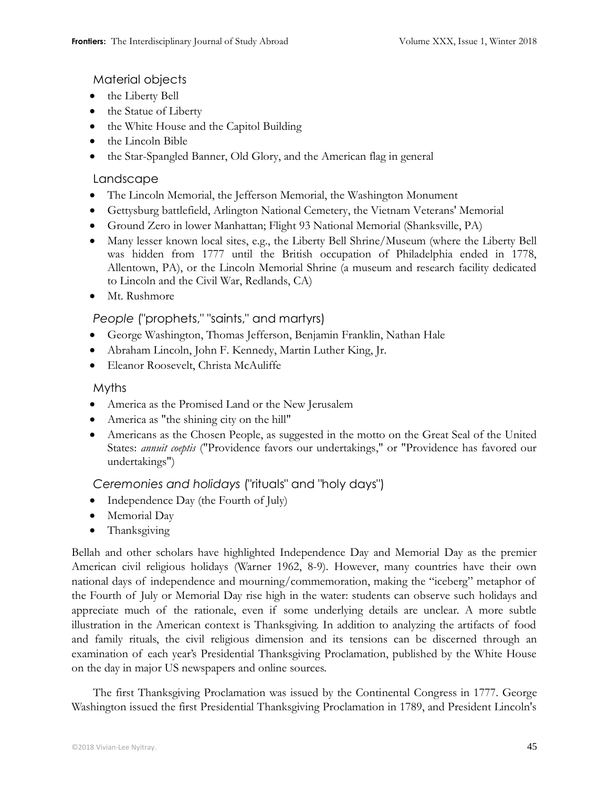Material objects

- the Liberty Bell
- the Statue of Liberty
- the White House and the Capitol Building
- the Lincoln Bible
- the Star-Spangled Banner, Old Glory, and the American flag in general

## Landscape

- The Lincoln Memorial, the Jefferson Memorial, the Washington Monument
- Gettysburg battlefield, Arlington National Cemetery, the Vietnam Veterans' Memorial
- Ground Zero in lower Manhattan; Flight 93 National Memorial (Shanksville, PA)
- Many lesser known local sites, e.g., the Liberty Bell Shrine/Museum (where the Liberty Bell was hidden from 1777 until the British occupation of Philadelphia ended in 1778, Allentown, PA), or the Lincoln Memorial Shrine (a museum and research facility dedicated to Lincoln and the Civil War, Redlands, CA)
- Mt. Rushmore

## *People* ("prophets," "saints," and martyrs)

- George Washington, Thomas Jefferson, Benjamin Franklin, Nathan Hale
- Abraham Lincoln, John F. Kennedy, Martin Luther King, Jr.
- Eleanor Roosevelt, Christa McAuliffe

## Myths

- America as the Promised Land or the New Jerusalem
- America as "the shining city on the hill"
- Americans as the Chosen People, as suggested in the motto on the Great Seal of the United States: *annuit coeptis* ("Providence favors our undertakings," or "Providence has favored our undertakings")

## *Ceremonies and holidays* ("rituals" and "holy days")

- Independence Day (the Fourth of July)
- Memorial Day
- Thanksgiving

Bellah and other scholars have highlighted Independence Day and Memorial Day as the premier American civil religious holidays (Warner 1962, 8-9). However, many countries have their own national days of independence and mourning/commemoration, making the "iceberg" metaphor of the Fourth of July or Memorial Day rise high in the water: students can observe such holidays and appreciate much of the rationale, even if some underlying details are unclear. A more subtle illustration in the American context is Thanksgiving. In addition to analyzing the artifacts of food and family rituals, the civil religious dimension and its tensions can be discerned through an examination of each year's Presidential Thanksgiving Proclamation, published by the White House on the day in major US newspapers and online sources.

The first Thanksgiving Proclamation was issued by the Continental Congress in 1777. George Washington issued the first Presidential Thanksgiving Proclamation in 1789, and President Lincoln's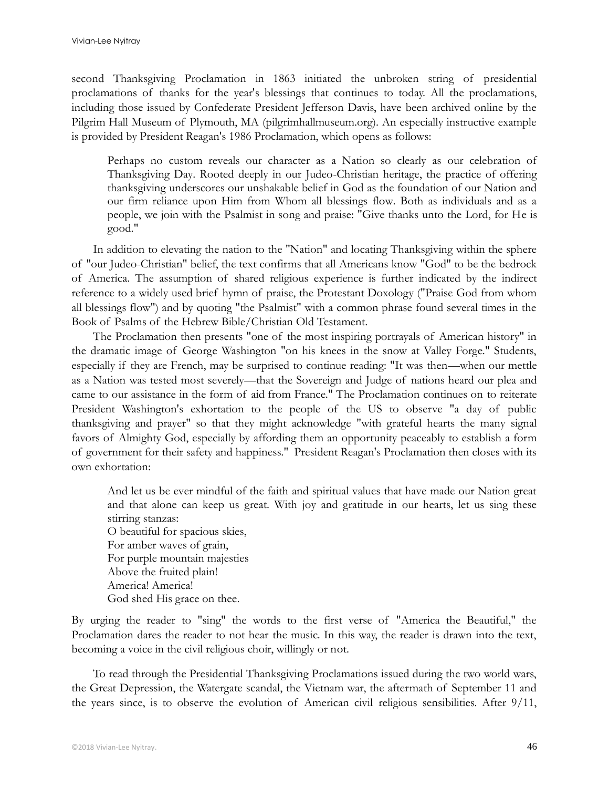second Thanksgiving Proclamation in 1863 initiated the unbroken string of presidential proclamations of thanks for the year's blessings that continues to today. All the proclamations, including those issued by Confederate President Jefferson Davis, have been archived online by the Pilgrim Hall Museum of Plymouth, MA (pilgrimhallmuseum.org). An especially instructive example is provided by President Reagan's 1986 Proclamation, which opens as follows:

Perhaps no custom reveals our character as a Nation so clearly as our celebration of Thanksgiving Day. Rooted deeply in our Judeo-Christian heritage, the practice of offering thanksgiving underscores our unshakable belief in God as the foundation of our Nation and our firm reliance upon Him from Whom all blessings flow. Both as individuals and as a people, we join with the Psalmist in song and praise: "Give thanks unto the Lord, for He is good."

In addition to elevating the nation to the "Nation" and locating Thanksgiving within the sphere of "our Judeo-Christian" belief, the text confirms that all Americans know "God" to be the bedrock of America. The assumption of shared religious experience is further indicated by the indirect reference to a widely used brief hymn of praise, the Protestant Doxology ("Praise God from whom all blessings flow") and by quoting "the Psalmist" with a common phrase found several times in the Book of Psalms of the Hebrew Bible/Christian Old Testament.

The Proclamation then presents "one of the most inspiring portrayals of American history" in the dramatic image of George Washington "on his knees in the snow at Valley Forge." Students, especially if they are French, may be surprised to continue reading: "It was then—when our mettle as a Nation was tested most severely—that the Sovereign and Judge of nations heard our plea and came to our assistance in the form of aid from France." The Proclamation continues on to reiterate President Washington's exhortation to the people of the US to observe "a day of public thanksgiving and prayer" so that they might acknowledge "with grateful hearts the many signal favors of Almighty God, especially by affording them an opportunity peaceably to establish a form of government for their safety and happiness." President Reagan's Proclamation then closes with its own exhortation:

And let us be ever mindful of the faith and spiritual values that have made our Nation great and that alone can keep us great. With joy and gratitude in our hearts, let us sing these stirring stanzas: O beautiful for spacious skies, For amber waves of grain, For purple mountain majesties Above the fruited plain! America! America! God shed His grace on thee.

By urging the reader to "sing" the words to the first verse of "America the Beautiful," the Proclamation dares the reader to not hear the music. In this way, the reader is drawn into the text, becoming a voice in the civil religious choir, willingly or not.

To read through the Presidential Thanksgiving Proclamations issued during the two world wars, the Great Depression, the Watergate scandal, the Vietnam war, the aftermath of September 11 and the years since, is to observe the evolution of American civil religious sensibilities. After 9/11,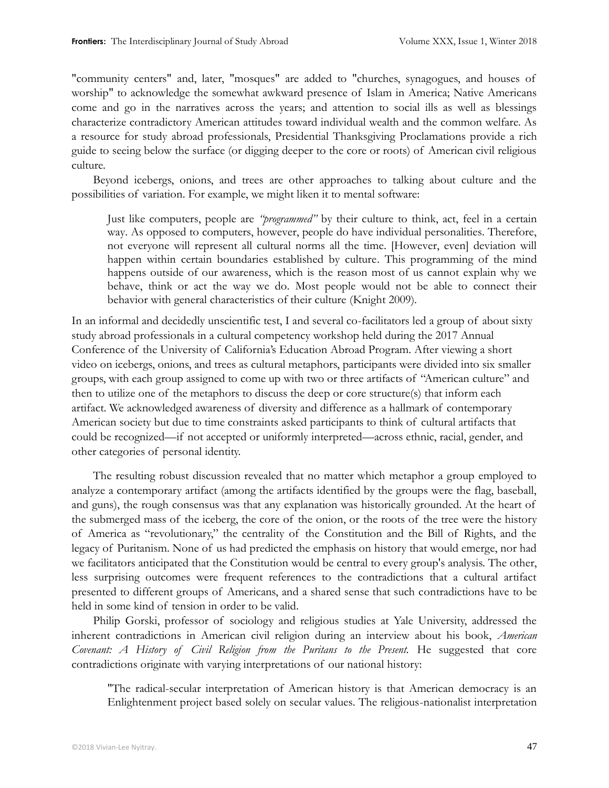"community centers" and, later, "mosques" are added to "churches, synagogues, and houses of worship" to acknowledge the somewhat awkward presence of Islam in America; Native Americans come and go in the narratives across the years; and attention to social ills as well as blessings characterize contradictory American attitudes toward individual wealth and the common welfare. As a resource for study abroad professionals, Presidential Thanksgiving Proclamations provide a rich guide to seeing below the surface (or digging deeper to the core or roots) of American civil religious culture.

Beyond icebergs, onions, and trees are other approaches to talking about culture and the possibilities of variation. For example, we might liken it to mental software:

Just like computers, people are *["programmed"](http://www.amazon.com/gp/product/0071439595?ie=UTF8&tag=wwwgeerthofst-20&linkCode=as2&camp=1789&creative=9325&creativeASIN=0071439595)* by their culture to think, act, feel in a certain way. As opposed to computers, however, people do have individual personalities. Therefore, not everyone will represent all cultural norms all the time. [However, even] deviation will happen within certain boundaries established by culture. This programming of the mind happens outside of our awareness, which is the reason most of us cannot explain why we behave, think or act the way we do. Most people would not be able to connect their behavior with general characteristics of their culture (Knight 2009).

In an informal and decidedly unscientific test, I and several co-facilitators led a group of about sixty study abroad professionals in a cultural competency workshop held during the 2017 Annual Conference of the University of California's Education Abroad Program. After viewing a short video on icebergs, onions, and trees as cultural metaphors, participants were divided into six smaller groups, with each group assigned to come up with two or three artifacts of "American culture" and then to utilize one of the metaphors to discuss the deep or core structure(s) that inform each artifact. We acknowledged awareness of diversity and difference as a hallmark of contemporary American society but due to time constraints asked participants to think of cultural artifacts that could be recognized—if not accepted or uniformly interpreted—across ethnic, racial, gender, and other categories of personal identity.

The resulting robust discussion revealed that no matter which metaphor a group employed to analyze a contemporary artifact (among the artifacts identified by the groups were the flag, baseball, and guns), the rough consensus was that any explanation was historically grounded. At the heart of the submerged mass of the iceberg, the core of the onion, or the roots of the tree were the history of America as "revolutionary," the centrality of the Constitution and the Bill of Rights, and the legacy of Puritanism. None of us had predicted the emphasis on history that would emerge, nor had we facilitators anticipated that the Constitution would be central to every group's analysis. The other, less surprising outcomes were frequent references to the contradictions that a cultural artifact presented to different groups of Americans, and a shared sense that such contradictions have to be held in some kind of tension in order to be valid.

Philip Gorski, professor of sociology and religious studies at Yale University, addressed the inherent contradictions in American civil religion during an interview about his book, *American*  Covenant: A History of Civil Religion from the Puritans to the Present. He suggested that core contradictions originate with varying interpretations of our national history:

"The radical-secular interpretation of American history is that American democracy is an Enlightenment project based solely on secular values. The religious-nationalist interpretation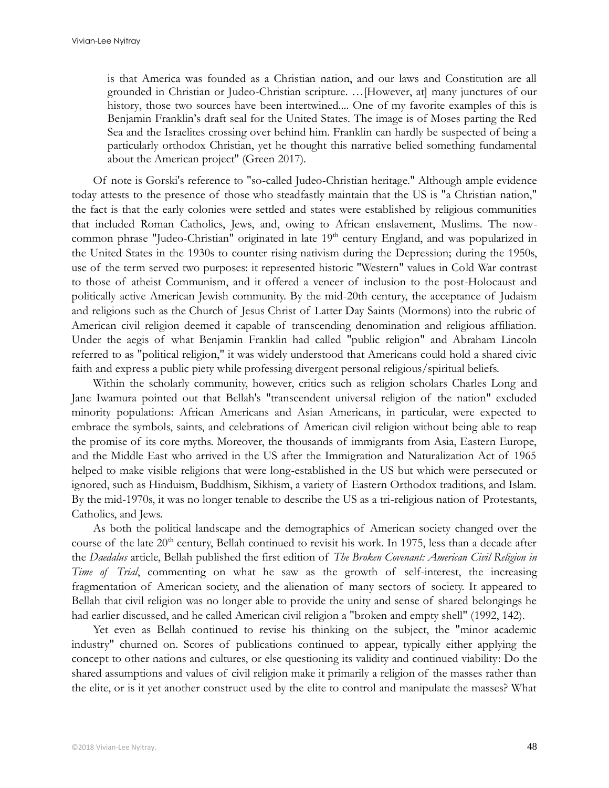is that America was founded as a Christian nation, and our laws and Constitution are all grounded in Christian or Judeo-Christian scripture. …[However, at] many junctures of our history, those two sources have been intertwined.... One of my favorite examples of this is Benjamin Franklin's draft seal for the United States. The image is of Moses parting the Red Sea and the Israelites crossing over behind him. Franklin can hardly be suspected of being a particularly orthodox Christian, yet he thought this narrative belied something fundamental about the American project" (Green 2017).

Of note is Gorski's reference to "so-called Judeo-Christian heritage." Although ample evidence today attests to the presence of those who steadfastly maintain that the US is "a Christian nation," the fact is that the early colonies were settled and states were established by religious communities that included Roman Catholics, Jews, and, owing to African enslavement, Muslims. The nowcommon phrase "Judeo-Christian" originated in late 19<sup>th</sup> century England, and was popularized in the United States in the 1930s to counter rising nativism during the Depression; during the 1950s, use of the term served two purposes: it represented historic "Western" values in Cold War contrast to those of atheist Communism, and it offered a veneer of inclusion to the post-Holocaust and politically active American Jewish community. By the mid-20th century, the acceptance of Judaism and religions such as the Church of Jesus Christ of Latter Day Saints (Mormons) into the rubric of American civil religion deemed it capable of transcending denomination and religious affiliation. Under the aegis of what Benjamin Franklin had called "public religion" and Abraham Lincoln referred to as "political religion," it was widely understood that Americans could hold a shared civic faith and express a public piety while professing divergent personal religious/spiritual beliefs.

Within the scholarly community, however, critics such as religion scholars Charles Long and Jane Iwamura pointed out that Bellah's "transcendent universal religion of the nation" excluded minority populations: African Americans and Asian Americans, in particular, were expected to embrace the symbols, saints, and celebrations of American civil religion without being able to reap the promise of its core myths. Moreover, the thousands of immigrants from Asia, Eastern Europe, and the Middle East who arrived in the US after the Immigration and Naturalization Act of 1965 helped to make visible religions that were long-established in the US but which were persecuted or ignored, such as Hinduism, Buddhism, Sikhism, a variety of Eastern Orthodox traditions, and Islam. By the mid-1970s, it was no longer tenable to describe the US as a tri-religious nation of Protestants, Catholics, and Jews.

As both the political landscape and the demographics of American society changed over the course of the late 20<sup>th</sup> century, Bellah continued to revisit his work. In 1975, less than a decade after the *Daedalus* article, Bellah published the first edition of *The Broken Covenant: American Civil Religion in Time of Trial*, commenting on what he saw as the growth of self-interest, the increasing fragmentation of American society, and the alienation of many sectors of society. It appeared to Bellah that civil religion was no longer able to provide the unity and sense of shared belongings he had earlier discussed, and he called American civil religion a "broken and empty shell" (1992, 142).

Yet even as Bellah continued to revise his thinking on the subject, the "minor academic industry" churned on. Scores of publications continued to appear, typically either applying the concept to other nations and cultures, or else questioning its validity and continued viability: Do the shared assumptions and values of civil religion make it primarily a religion of the masses rather than the elite, or is it yet another construct used by the elite to control and manipulate the masses? What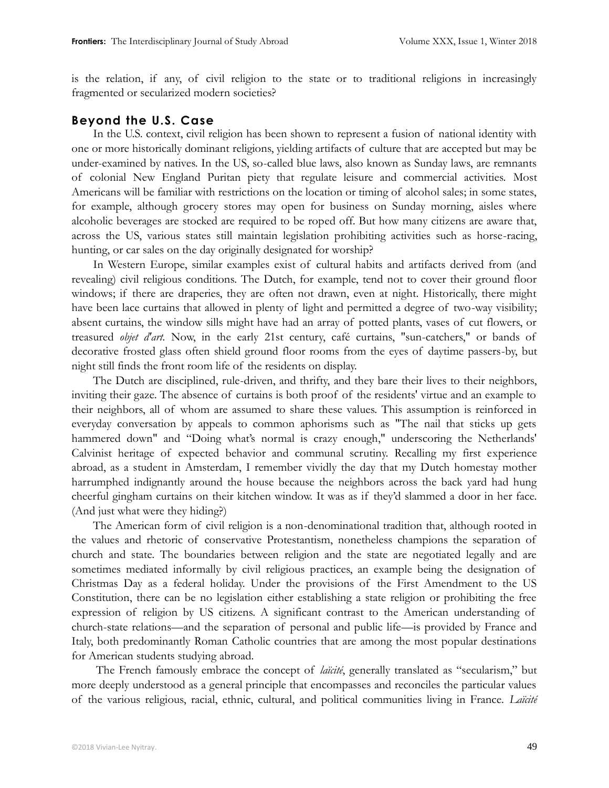is the relation, if any, of civil religion to the state or to traditional religions in increasingly fragmented or secularized modern societies?

#### **Beyond the U.S. Case**

In the U.S. context, civil religion has been shown to represent a fusion of national identity with one or more historically dominant religions, yielding artifacts of culture that are accepted but may be under-examined by natives. In the US, so-called blue laws, also known as Sunday laws, are remnants of colonial New England Puritan piety that regulate leisure and commercial activities. Most Americans will be familiar with restrictions on the location or timing of alcohol sales; in some states, for example, although grocery stores may open for business on Sunday morning, aisles where alcoholic beverages are stocked are required to be roped off. But how many citizens are aware that, across the US, various states still maintain legislation prohibiting activities such as horse-racing, hunting, or car sales on the day originally designated for worship?

In Western Europe, similar examples exist of cultural habits and artifacts derived from (and revealing) civil religious conditions. The Dutch, for example, tend not to cover their ground floor windows; if there are draperies, they are often not drawn, even at night. Historically, there might have been lace curtains that allowed in plenty of light and permitted a degree of two-way visibility; absent curtains, the window sills might have had an array of potted plants, vases of cut flowers, or treasured *objet d'art.* Now, in the early 21st century, café curtains, "sun-catchers," or bands of decorative frosted glass often shield ground floor rooms from the eyes of daytime passers-by, but night still finds the front room life of the residents on display.

The Dutch are disciplined, rule-driven, and thrifty, and they bare their lives to their neighbors, inviting their gaze. The absence of curtains is both proof of the residents' virtue and an example to their neighbors, all of whom are assumed to share these values. This assumption is reinforced in everyday conversation by appeals to common aphorisms such as "The nail that sticks up gets hammered down" and "Doing what's normal is crazy enough," underscoring the Netherlands' Calvinist heritage of expected behavior and communal scrutiny. Recalling my first experience abroad, as a student in Amsterdam, I remember vividly the day that my Dutch homestay mother harrumphed indignantly around the house because the neighbors across the back yard had hung cheerful gingham curtains on their kitchen window. It was as if they'd slammed a door in her face. (And just what were they hiding?)

The American form of civil religion is a non-denominational tradition that, although rooted in the values and rhetoric of conservative Protestantism, nonetheless champions the separation of church and state. The boundaries between religion and the state are negotiated legally and are sometimes mediated informally by civil religious practices, an example being the designation of Christmas Day as a federal holiday. Under the provisions of the First Amendment to the US Constitution, there can be no legislation either establishing a state religion or prohibiting the free expression of religion by US citizens. A significant contrast to the American understanding of church-state relations—and the separation of personal and public life—is provided by France and Italy, both predominantly Roman Catholic countries that are among the most popular destinations for American students studying abroad.

The French famously embrace the concept of *laïcité*, generally translated as "secularism," but more deeply understood as a general principle that encompasses and reconciles the particular values of the various religious, racial, ethnic, cultural, and political communities living in France. *Laïcité*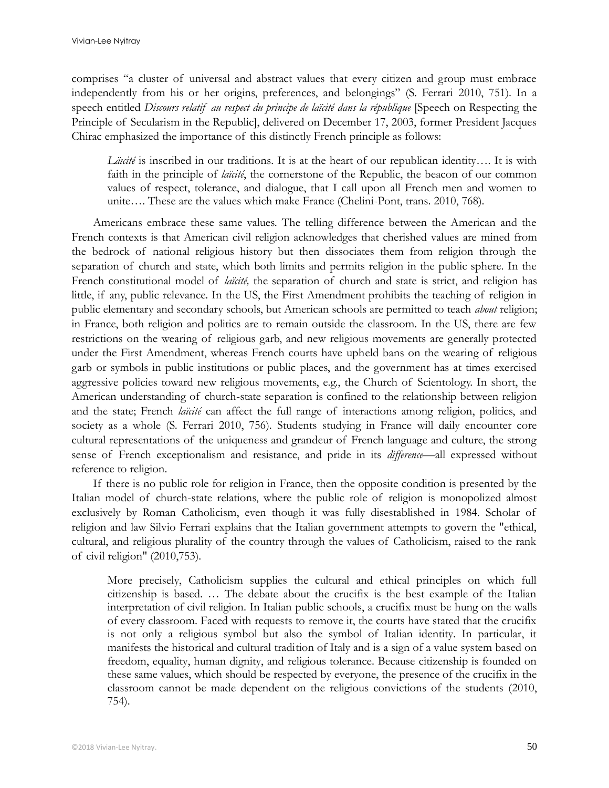comprises "a cluster of universal and abstract values that every citizen and group must embrace independently from his or her origins, preferences, and belongings" (S. Ferrari 2010, 751). In a speech entitled *Discours relatif au respect du principe de laïcité dans la république* [Speech on Respecting the Principle of Secularism in the Republic], delivered on December 17, 2003, former President Jacques Chirac emphasized the importance of this distinctly French principle as follows:

*Läıcité* is inscribed in our traditions. It is at the heart of our republican identity…. It is with faith in the principle of *laïcité*, the cornerstone of the Republic, the beacon of our common values of respect, tolerance, and dialogue, that I call upon all French men and women to unite…. These are the values which make France (Chelini-Pont, trans. 2010, 768).

Americans embrace these same values. The telling difference between the American and the French contexts is that American civil religion acknowledges that cherished values are mined from the bedrock of national religious history but then dissociates them from religion through the separation of church and state, which both limits and permits religion in the public sphere. In the French constitutional model of *laïcité,* the separation of church and state is strict, and religion has little, if any, public relevance. In the US, the First Amendment prohibits the teaching of religion in public elementary and secondary schools, but American schools are permitted to teach *about* religion; in France, both religion and politics are to remain outside the classroom. In the US, there are few restrictions on the wearing of religious garb, and new religious movements are generally protected under the First Amendment, whereas French courts have upheld bans on the wearing of religious garb or symbols in public institutions or public places, and the government has at times exercised aggressive policies toward new religious movements, e.g., the Church of Scientology. In short, the American understanding of church-state separation is confined to the relationship between religion and the state; French *laïcité* can affect the full range of interactions among religion, politics, and society as a whole (S. Ferrari 2010, 756). Students studying in France will daily encounter core cultural representations of the uniqueness and grandeur of French language and culture, the strong sense of French exceptionalism and resistance, and pride in its *difference—*all expressed without reference to religion.

If there is no public role for religion in France, then the opposite condition is presented by the Italian model of church-state relations, where the public role of religion is monopolized almost exclusively by Roman Catholicism, even though it was fully disestablished in 1984. Scholar of religion and law Silvio Ferrari explains that the Italian government attempts to govern the "ethical, cultural, and religious plurality of the country through the values of Catholicism, raised to the rank of civil religion" (2010,753).

More precisely, Catholicism supplies the cultural and ethical principles on which full citizenship is based. … The debate about the crucifix is the best example of the Italian interpretation of civil religion. In Italian public schools, a crucifix must be hung on the walls of every classroom. Faced with requests to remove it, the courts have stated that the crucifix is not only a religious symbol but also the symbol of Italian identity. In particular, it manifests the historical and cultural tradition of Italy and is a sign of a value system based on freedom, equality, human dignity, and religious tolerance. Because citizenship is founded on these same values, which should be respected by everyone, the presence of the crucifix in the classroom cannot be made dependent on the religious convictions of the students (2010, 754).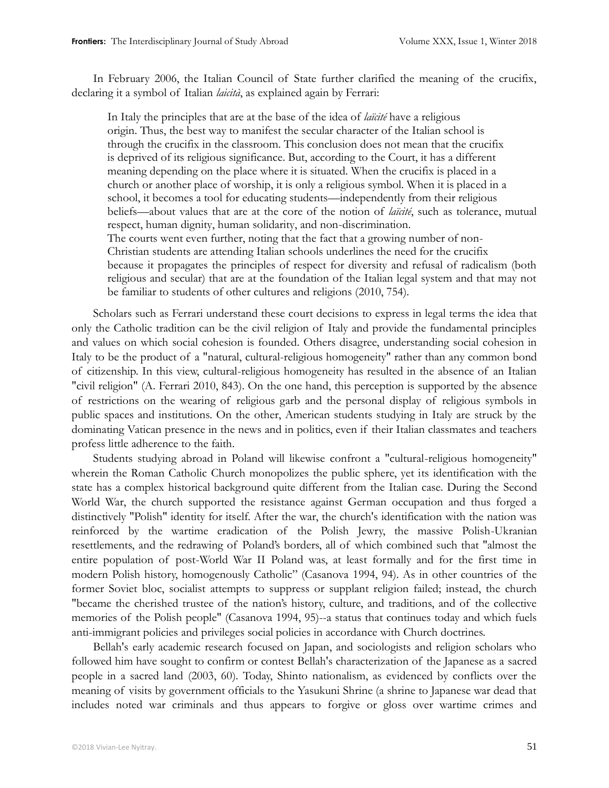In February 2006, the Italian Council of State further clarified the meaning of the crucifix, declaring it a symbol of Italian *laicità*, as explained again by Ferrari:

In Italy the principles that are at the base of the idea of *laïcité* have a religious origin. Thus, the best way to manifest the secular character of the Italian school is through the crucifix in the classroom. This conclusion does not mean that the crucifix is deprived of its religious significance. But, according to the Court, it has a different meaning depending on the place where it is situated. When the crucifix is placed in a church or another place of worship, it is only a religious symbol. When it is placed in a school, it becomes a tool for educating students—independently from their religious beliefs—about values that are at the core of the notion of *laïcité*, such as tolerance, mutual respect, human dignity, human solidarity, and non-discrimination. The courts went even further, noting that the fact that a growing number of non-Christian students are attending Italian schools underlines the need for the crucifix because it propagates the principles of respect for diversity and refusal of radicalism (both religious and secular) that are at the foundation of the Italian legal system and that may not be familiar to students of other cultures and religions (2010, 754).

Scholars such as Ferrari understand these court decisions to express in legal terms the idea that only the Catholic tradition can be the civil religion of Italy and provide the fundamental principles and values on which social cohesion is founded. Others disagree, understanding social cohesion in Italy to be the product of a "natural, cultural-religious homogeneity" rather than any common bond of citizenship. In this view, cultural-religious homogeneity has resulted in the absence of an Italian "civil religion" (A. Ferrari 2010, 843). On the one hand, this perception is supported by the absence of restrictions on the wearing of religious garb and the personal display of religious symbols in public spaces and institutions. On the other, American students studying in Italy are struck by the dominating Vatican presence in the news and in politics, even if their Italian classmates and teachers profess little adherence to the faith.

Students studying abroad in Poland will likewise confront a "cultural-religious homogeneity" wherein the Roman Catholic Church monopolizes the public sphere, yet its identification with the state has a complex historical background quite different from the Italian case. During the Second World War, the church supported the resistance against German occupation and thus forged a distinctively "Polish" identity for itself. After the war, the church's identification with the nation was reinforced by the wartime eradication of the Polish Jewry, the massive Polish-Ukranian resettlements, and the redrawing of Poland's borders, all of which combined such that "almost the entire population of post-World War II Poland was, at least formally and for the first time in modern Polish history, homogenously Catholic" (Casanova 1994, 94). As in other countries of the former Soviet bloc, socialist attempts to suppress or supplant religion failed; instead, the church "became the cherished trustee of the nation's history, culture, and traditions, and of the collective memories of the Polish people" (Casanova 1994, 95)--a status that continues today and which fuels anti-immigrant policies and privileges social policies in accordance with Church doctrines.

Bellah's early academic research focused on Japan, and sociologists and religion scholars who followed him have sought to confirm or contest Bellah's characterization of the Japanese as a sacred people in a sacred land (2003, 60). Today, Shinto nationalism, as evidenced by conflicts over the meaning of visits by government officials to the Yasukuni Shrine (a shrine to Japanese war dead that includes noted war criminals and thus appears to forgive or gloss over wartime crimes and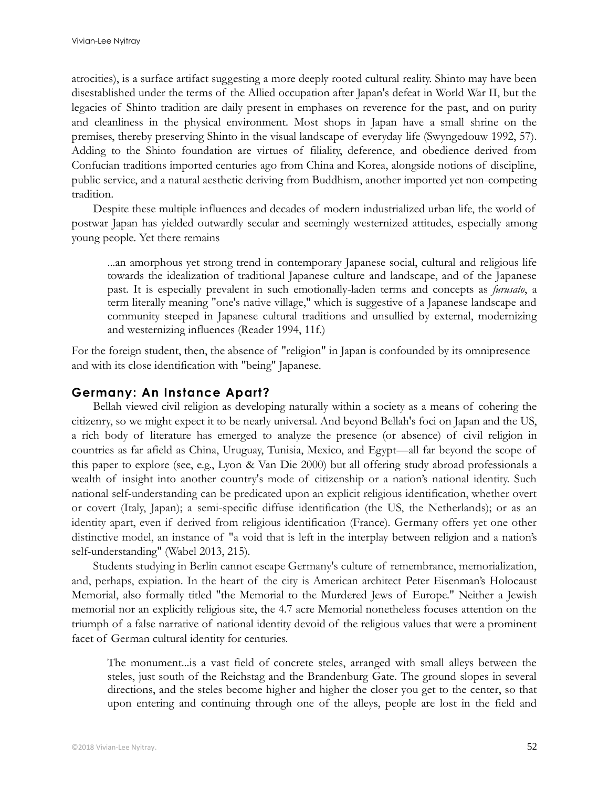atrocities), is a surface artifact suggesting a more deeply rooted cultural reality. Shinto may have been disestablished under the terms of the Allied occupation after Japan's defeat in World War II, but the legacies of Shinto tradition are daily present in emphases on reverence for the past, and on purity and cleanliness in the physical environment. Most shops in Japan have a small shrine on the premises, thereby preserving Shinto in the visual landscape of everyday life (Swyngedouw 1992, 57). Adding to the Shinto foundation are virtues of filiality, deference, and obedience derived from Confucian traditions imported centuries ago from China and Korea, alongside notions of discipline, public service, and a natural aesthetic deriving from Buddhism, another imported yet non-competing tradition.

Despite these multiple influences and decades of modern industrialized urban life, the world of postwar Japan has yielded outwardly secular and seemingly westernized attitudes, especially among young people. Yet there remains

...an amorphous yet strong trend in contemporary Japanese social, cultural and religious life towards the idealization of traditional Japanese culture and landscape, and of the Japanese past. It is especially prevalent in such emotionally-laden terms and concepts as *furusato*, a term literally meaning "one's native village," which is suggestive of a Japanese landscape and community steeped in Japanese cultural traditions and unsullied by external, modernizing and westernizing influences (Reader 1994, 11f.)

For the foreign student, then, the absence of "religion" in Japan is confounded by its omnipresence and with its close identification with "being" Japanese.

#### **Germany: An Instance Apart?**

Bellah viewed civil religion as developing naturally within a society as a means of cohering the citizenry, so we might expect it to be nearly universal. And beyond Bellah's foci on Japan and the US, a rich body of literature has emerged to analyze the presence (or absence) of civil religion in countries as far afield as China, Uruguay, Tunisia, Mexico, and Egypt—all far beyond the scope of this paper to explore (see, e.g., Lyon & Van Die 2000) but all offering study abroad professionals a wealth of insight into another country's mode of citizenship or a nation's national identity. Such national self-understanding can be predicated upon an explicit religious identification, whether overt or covert (Italy, Japan); a semi-specific diffuse identification (the US, the Netherlands); or as an identity apart, even if derived from religious identification (France). Germany offers yet one other distinctive model, an instance of "a void that is left in the interplay between religion and a nation's self-understanding" (Wabel 2013, 215).

Students studying in Berlin cannot escape Germany's culture of remembrance, memorialization, and, perhaps, expiation. In the heart of the city is American architect Peter Eisenman's Holocaust Memorial, also formally titled "the Memorial to the Murdered Jews of Europe." Neither a Jewish memorial nor an explicitly religious site, the 4.7 acre Memorial nonetheless focuses attention on the triumph of a false narrative of national identity devoid of the religious values that were a prominent facet of German cultural identity for centuries.

The monument...is a vast field of concrete steles, arranged with small alleys between the steles, just south of the Reichstag and the Brandenburg Gate. The ground slopes in several directions, and the steles become higher and higher the closer you get to the center, so that upon entering and continuing through one of the alleys, people are lost in the field and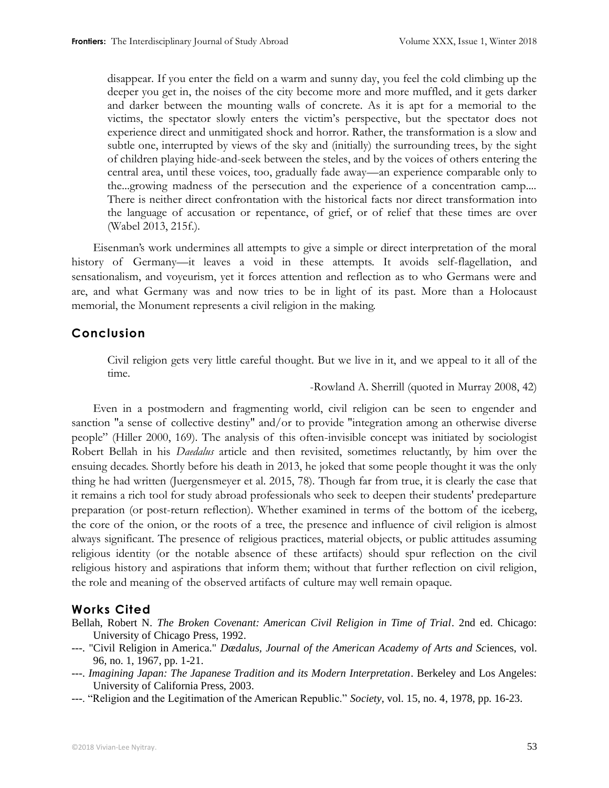disappear. If you enter the field on a warm and sunny day, you feel the cold climbing up the deeper you get in, the noises of the city become more and more muffled, and it gets darker and darker between the mounting walls of concrete. As it is apt for a memorial to the victims, the spectator slowly enters the victim's perspective, but the spectator does not experience direct and unmitigated shock and horror. Rather, the transformation is a slow and subtle one, interrupted by views of the sky and (initially) the surrounding trees, by the sight of children playing hide-and-seek between the steles, and by the voices of others entering the central area, until these voices, too, gradually fade away—an experience comparable only to the...growing madness of the persecution and the experience of a concentration camp.... There is neither direct confrontation with the historical facts nor direct transformation into the language of accusation or repentance, of grief, or of relief that these times are over (Wabel 2013, 215f.).

Eisenman's work undermines all attempts to give a simple or direct interpretation of the moral history of Germany—it leaves a void in these attempts. It avoids self-flagellation, and sensationalism, and voyeurism, yet it forces attention and reflection as to who Germans were and are, and what Germany was and now tries to be in light of its past. More than a Holocaust memorial, the Monument represents a civil religion in the making.

#### **Conclusion**

Civil religion gets very little careful thought. But we live in it, and we appeal to it all of the time.

-Rowland A. Sherrill (quoted in Murray 2008, 42)

Even in a postmodern and fragmenting world, civil religion can be seen to engender and sanction "a sense of collective destiny" and/or to provide "integration among an otherwise diverse people" (Hiller 2000, 169). The analysis of this often-invisible concept was initiated by sociologist Robert Bellah in his *Daedalus* article and then revisited, sometimes reluctantly, by him over the ensuing decades. Shortly before his death in 2013, he joked that some people thought it was the only thing he had written (Juergensmeyer et al. 2015, 78). Though far from true, it is clearly the case that it remains a rich tool for study abroad professionals who seek to deepen their students' predeparture preparation (or post-return reflection). Whether examined in terms of the bottom of the iceberg, the core of the onion, or the roots of a tree, the presence and influence of civil religion is almost always significant. The presence of religious practices, material objects, or public attitudes assuming religious identity (or the notable absence of these artifacts) should spur reflection on the civil religious history and aspirations that inform them; without that further reflection on civil religion, the role and meaning of the observed artifacts of culture may well remain opaque.

#### **Works Cited**

Bellah, Robert N. *The Broken Covenant: American Civil Religion in Time of Trial*. 2nd ed. Chicago: University of Chicago Press, 1992.

- ---. "Civil Religion in America." *Dædalus, Journal of the American Academy of Arts and Sc*iences, vol. 96, no. 1, 1967, pp. 1-21.
- ---. *Imagining Japan: The Japanese Tradition and its Modern Interpretation*. Berkeley and Los Angeles: University of California Press, 2003.
- ---. "Religion and the Legitimation of the American Republic." *Society*, vol. 15, no. 4, 1978, pp. 16-23.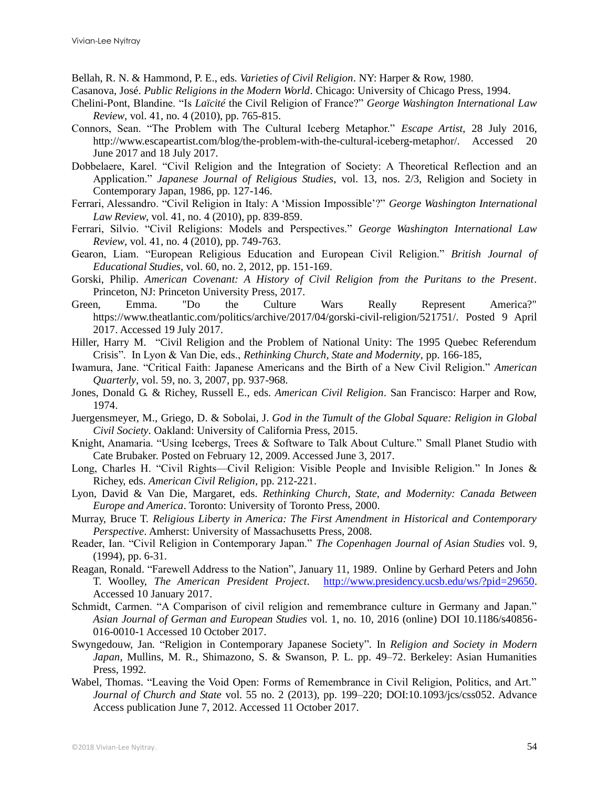Bellah, R. N. & Hammond, P. E., eds. *Varieties of Civil Religion*. NY: Harper & Row, 1980.

- Casanova, José. *Public Religions in the Modern World*. Chicago: University of Chicago Press, 1994.
- Chelini-Pont, Blandine. "Is *Laïcité* the Civil Religion of France?" *George Washington International Law Review*, vol. 41, no. 4 (2010), pp. 765-815.
- Connors, Sean. "The Problem with The Cultural Iceberg Metaphor." *Escape Artist*, 28 July 2016, [http://www.escapeartist.com/blog/the-problem-with-the-cultural-iceberg-metaphor/.](http://www.escapeartist.com/blog/the-problem-with-the-cultural-iceberg-metaphor/) Accessed 20 June 2017 and 18 July 2017.
- Dobbelaere, Karel. "Civil Religion and the Integration of Society: A Theoretical Reflection and an Application." *Japanese Journal of Religious Studies*, vol. 13, nos. 2/3, Religion and Society in Contemporary Japan, 1986, pp. 127-146.
- Ferrari, Alessandro. "Civil Religion in Italy: A 'Mission Impossible'?" *George Washington International Law Review*, vol. 41, no. 4 (2010), pp. 839-859.
- Ferrari, Silvio. "Civil Religions: Models and Perspectives." *George Washington International Law Review*, vol. 41, no. 4 (2010), pp. 749-763.
- Gearon, Liam. "European Religious Education and European Civil Religion." *British Journal of Educational Studies*, vol. 60, no. 2, 2012, pp. 151-169.
- Gorski, Philip. *American Covenant: A History of Civil Religion from the Puritans to the Present*. Princeton, NJ: Princeton University Press, 2017.
- Green, Emma. "Do the Culture Wars Really Represent America?" [https://www.theatlantic.com/politics/archive/2017/04/gorski-civil-religion/521751/.](https://www.theatlantic.com/politics/archive/2017/04/gorski-civil-religion/521751/) Posted 9 April 2017. Accessed 19 July 2017.
- Hiller, Harry M. "Civil Religion and the Problem of National Unity: The 1995 Quebec Referendum Crisis". In Lyon & Van Die, eds., *Rethinking Church, State and Modernity*, pp. 166-185,
- Iwamura, Jane. "Critical Faith: Japanese Americans and the Birth of a New Civil Religion." *American Quarterly*, vol. 59, no. 3, 2007, pp. 937-968.
- Jones, Donald G. & Richey, Russell E., eds. *American Civil Religion*. San Francisco: Harper and Row, 1974.
- Juergensmeyer, M., Griego, D. & Sobolai, J. *God in the Tumult of the Global Square: Religion in Global Civil Society*. Oakland: University of California Press, 2015.
- Knight, Anamaria. "Using Icebergs, Trees & Software to Talk About Culture." Small Planet Studio with Cate Brubaker. Posted on February 12, 2009. Accessed June 3, 2017.
- Long, Charles H. "Civil Rights—Civil Religion: Visible People and Invisible Religion." In Jones & Richey, eds. *American Civil Religion*, pp. 212-221.
- Lyon, David & Van Die, Margaret, eds. *Rethinking Church, State, and Modernity: Canada Between Europe and America*. Toronto: University of Toronto Press, 2000.
- Murray, Bruce T. *Religious Liberty in America: The First Amendment in Historical and Contemporary Perspective*. Amherst: University of Massachusetts Press, 2008.
- Reader, Ian. "Civil Religion in Contemporary Japan." *The Copenhagen Journal of Asian Studies* vol. 9, (1994), pp. 6-31.
- Reagan, Ronald. "Farewell Address to the Nation", January 11, 1989. Online by Gerhard Peters and John T. Woolley, *The American President Project*. [http://www.presidency.ucsb.edu/ws/?pid=29650.](http://www.presidency.ucsb.edu/ws/?pid=29650) Accessed 10 January 2017.
- Schmidt, Carmen. "A Comparison of civil religion and remembrance culture in Germany and Japan." *Asian Journal of German and European Studies* vol. 1, no. 10, 2016 (online) DOI 10.1186/s40856- 016-0010-1 Accessed 10 October 2017.
- Swyngedouw, Jan. "Religion in Contemporary Japanese Society". In *Religion and Society in Modern Japan*, Mullins, M. R., Shimazono, S. & Swanson, P. L. pp. 49–72. Berkeley: Asian Humanities Press, 1992.
- Wabel, Thomas. "Leaving the Void Open: Forms of Remembrance in Civil Religion, Politics, and Art." *Journal of Church and State* vol. 55 no. 2 (2013), pp. 199–220; DOI:10.1093/jcs/css052. Advance Access publication June 7, 2012. Accessed 11 October 2017.